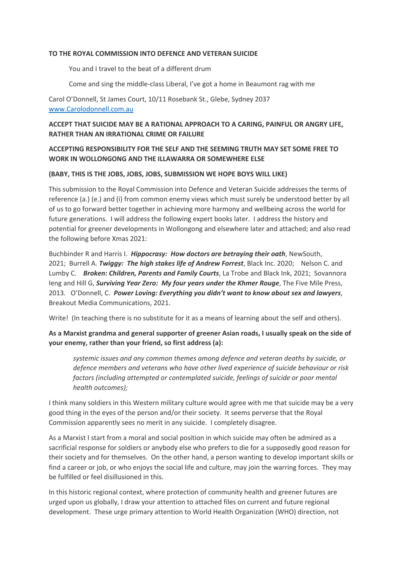### **TO THE ROYAL COMMISSION INTO DEFENCE AND VETERAN SUICIDE**

You and I travel to the beat of a different drum

Come and sing the middle-class Liberal, I've got a home in Beaumont rag with me

Carol O'Donnell, St James Court, 10/11 Rosebank St., Glebe, Sydney 2037 www.Carolodonnell.com.au

# **ACCEPT THAT SUICIDE MAY BE A RATIONAL APPROACH TO A CARING, PAINFUL OR ANGRY LIFE, RATHER THAN AN IRRATIONAL CRIME OR FAILURE**

# **ACCEPTING RESPONSIBILITY FOR THE SELF AND THE SEEMING TRUTH MAY SET SOME FREE TO WORK IN WOLLONGONG AND THE ILLAWARRA OR SOMEWHERE ELSE**

### **(BABY, THIS IS THE JOBS, JOBS, JOBS, SUBMISSION WE HOPE BOYS WILL LIKE)**

This submission to the Royal Commission into Defence and Veteran Suicide addresses the terms of reference (a.) (e.) and (i) from common enemy views which must surely be understood better by all of us to go forward better together in achieving more harmony and wellbeing across the world for future generations. I will address the following expert books later. I address the history and potential for greener developments in Wollongong and elsewhere later and attached; and also read the following before Xmas 2021:

Buchbinder R and Harris I. *Hippocrasy: How doctors are betraying their oath*, NewSouth, 2021; Burrell A. *Twiggy: The high stakes life of Andrew Forrest*, Black Inc. 2020; Nelson C. and Lumby C. *Broken: Children, Parents and Family Courts*, La Trobe and Black Ink, 2021; Sovannora Ieng and Hill G, *Surviving Year Zero: My four years under the Khmer Rouge*, The Five Mile Press, 2013. O'Donnell, C. *Power Loving: Everything you didn't want to know about sex and lawyers*, Breakout Media Communications, 2021.

Write! (In teaching there is no substitute for it as a means of learning about the self and others).

# **As a Marxist grandma and general supporter of greener Asian roads, I usually speak on the side of your enemy, rather than your friend, so first address (a):**

*systemic issues and any common themes among defence and veteran deaths by suicide, or defence members and veterans who have other lived experience of suicide behaviour or risk factors (including attempted or contemplated suicide, feelings of suicide or poor mental health outcomes);*

I think many soldiers in this Western military culture would agree with me that suicide may be a very good thing in the eyes of the person and/or their society. It seems perverse that the Royal Commission apparently sees no merit in any suicide. I completely disagree.

As a Marxist I start from a moral and social position in which suicide may often be admired as a sacrificial response for soldiers or anybody else who prefers to die for a supposedly good reason for their society and for themselves. On the other hand, a person wanting to develop important skills or find a career or job, or who enjoys the social life and culture, may join the warring forces. They may be fulfilled or feel disillusioned in this.

In this historic regional context, where protection of community health and greener futures are urged upon us globally, I draw your attention to attached files on current and future regional development. These urge primary attention to World Health Organization (WHO) direction, not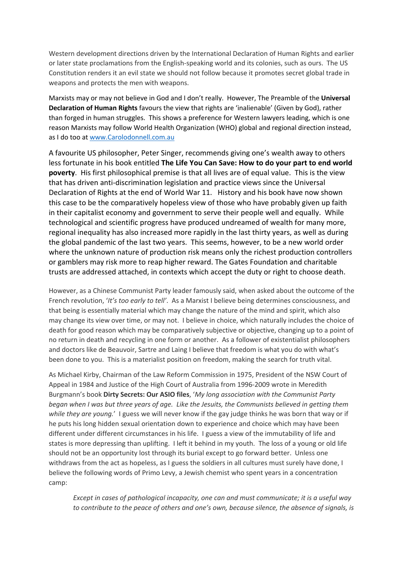Western development directions driven by the International Declaration of Human Rights and earlier or later state proclamations from the English-speaking world and its colonies, such as ours. The US Constitution renders it an evil state we should not follow because it promotes secret global trade in weapons and protects the men with weapons.

Marxists may or may not believe in God and I don't really. However, The Preamble of the **Universal Declaration of Human Rights** favours the view that rights are 'inalienable' (Given by God), rather than forged in human struggles. This shows a preference for Western lawyers leading, which is one reason Marxists may follow World Health Organization (WHO) global and regional direction instead, as I do too at www.Carolodonnell.com.au

A favourite US philosopher, Peter Singer, recommends giving one's wealth away to others less fortunate in his book entitled **The Life You Can Save: How to do your part to end world poverty**. His first philosophical premise is that all lives are of equal value. This is the view that has driven anti-discrimination legislation and practice views since the Universal Declaration of Rights at the end of World War 11. History and his book have now shown this case to be the comparatively hopeless view of those who have probably given up faith in their capitalist economy and government to serve their people well and equally. While technological and scientific progress have produced undreamed of wealth for many more, regional inequality has also increased more rapidly in the last thirty years, as well as during the global pandemic of the last two years. This seems, however, to be a new world order where the unknown nature of production risk means only the richest production controllers or gamblers may risk more to reap higher reward. The Gates Foundation and charitable trusts are addressed attached, in contexts which accept the duty or right to choose death.

However, as a Chinese Communist Party leader famously said, when asked about the outcome of the French revolution, '*It's too early to tell'*. As a Marxist I believe being determines consciousness, and that being is essentially material which may change the nature of the mind and spirit, which also may change its view over time, or may not. I believe in choice, which naturally includes the choice of death for good reason which may be comparatively subjective or objective, changing up to a point of no return in death and recycling in one form or another. As a follower of existentialist philosophers and doctors like de Beauvoir, Sartre and Laing I believe that freedom is what you do with what's been done to you. This is a materialist position on freedom, making the search for truth vital.

As Michael Kirby, Chairman of the Law Reform Commission in 1975, President of the NSW Court of Appeal in 1984 and Justice of the High Court of Australia from 1996-2009 wrote in Meredith Burgmann's book **Dirty Secrets: Our ASIO files**, '*My long association with the Communist Party began when I was but three years of age. Like the Jesuits, the Communists believed in getting them while they are young.*' I guess we will never know if the gay judge thinks he was born that way or if he puts his long hidden sexual orientation down to experience and choice which may have been different under different circumstances in his life. I guess a view of the immutability of life and states is more depressing than uplifting. I left it behind in my youth. The loss of a young or old life should not be an opportunity lost through its burial except to go forward better. Unless one withdraws from the act as hopeless, as I guess the soldiers in all cultures must surely have done, I believe the following words of Primo Levy, a Jewish chemist who spent years in a concentration camp:

*Except in cases of pathological incapacity, one can and must communicate; it is a useful way to contribute to the peace of others and one's own, because silence, the absence of signals, is*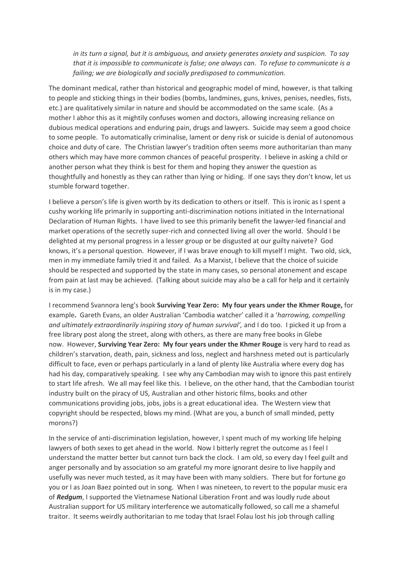*in its turn a signal, but it is ambiguous, and anxiety generates anxiety and suspicion. To say that it is impossible to communicate is false; one always can. To refuse to communicate is a failing; we are biologically and socially predisposed to communication.*

The dominant medical, rather than historical and geographic model of mind, however, is that talking to people and sticking things in their bodies (bombs, landmines, guns, knives, penises, needles, fists, etc.) are qualitatively similar in nature and should be accommodated on the same scale. (As a mother I abhor this as it mightily confuses women and doctors, allowing increasing reliance on dubious medical operations and enduring pain, drugs and lawyers. Suicide may seem a good choice to some people. To automatically criminalise, lament or deny risk or suicide is denial of autonomous choice and duty of care. The Christian lawyer's tradition often seems more authoritarian than many others which may have more common chances of peaceful prosperity. I believe in asking a child or another person what they think is best for them and hoping they answer the question as thoughtfully and honestly as they can rather than lying or hiding. If one says they don't know, let us stumble forward together.

I believe a person's life is given worth by its dedication to others or itself. This is ironic as I spent a cushy working life primarily in supporting anti-discrimination notions initiated in the International Declaration of Human Rights. I have lived to see this primarily benefit the lawyer-led financial and market operations of the secretly super-rich and connected living all over the world. Should I be delighted at my personal progress in a lesser group or be disgusted at our guilty naivete? God knows, it's a personal question. However, if I was brave enough to kill myself I might. Two old, sick, men in my immediate family tried it and failed. As a Marxist, I believe that the choice of suicide should be respected and supported by the state in many cases, so personal atonement and escape from pain at last may be achieved. (Talking about suicide may also be a call for help and it certainly is in my case.)

I recommend Svannora Ieng's book **Surviving Year Zero: My four years under the Khmer Rouge,** for example**.** Gareth Evans, an older Australian 'Cambodia watcher' called it a '*harrowing, compelling and ultimately extraordinarily inspiring story of human survival',* and I do too. I picked it up from a free library post along the street, along with others, as there are many free books in Glebe now. However, **Surviving Year Zero: My four years under the Khmer Rouge** is very hard to read as children's starvation, death, pain, sickness and loss, neglect and harshness meted out is particularly difficult to face, even or perhaps particularly in a land of plenty like Australia where every dog has had his day, comparatively speaking. I see why any Cambodian may wish to ignore this past entirely to start life afresh. We all may feel like this. I believe, on the other hand, that the Cambodian tourist industry built on the piracy of US, Australian and other historic films, books and other communications providing jobs, jobs, jobs is a great educational idea. The Western view that copyright should be respected, blows my mind. (What are you, a bunch of small minded, petty morons?)

In the service of anti-discrimination legislation, however, I spent much of my working life helping lawyers of both sexes to get ahead in the world. Now I bitterly regret the outcome as I feel I understand the matter better but cannot turn back the clock. I am old, so every day I feel guilt and anger personally and by association so am grateful my more ignorant desire to live happily and usefully was never much tested, as it may have been with many soldiers. There but for fortune go you or I as Joan Baez pointed out in song. When I was nineteen, to revert to the popular music era of *Redgum*, I supported the Vietnamese National Liberation Front and was loudly rude about Australian support for US military interference we automatically followed, so call me a shameful traitor. It seems weirdly authoritarian to me today that Israel Folau lost his job through calling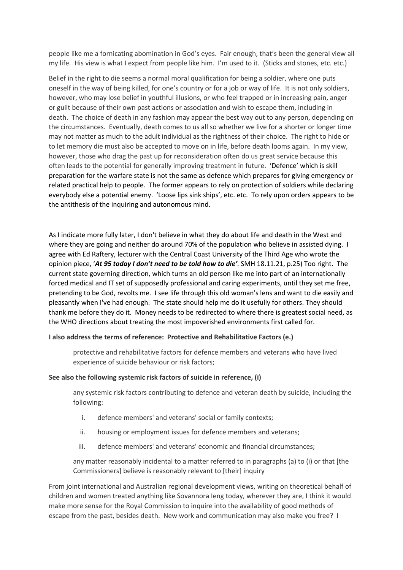people like me a fornicating abomination in God's eyes. Fair enough, that's been the general view all my life. His view is what I expect from people like him. I'm used to it. (Sticks and stones, etc. etc.)

Belief in the right to die seems a normal moral qualification for being a soldier, where one puts oneself in the way of being killed, for one's country or for a job or way of life. It is not only soldiers, however, who may lose belief in youthful illusions, or who feel trapped or in increasing pain, anger or guilt because of their own past actions or association and wish to escape them, including in death. The choice of death in any fashion may appear the best way out to any person, depending on the circumstances. Eventually, death comes to us all so whether we live for a shorter or longer time may not matter as much to the adult individual as the rightness of their choice. The right to hide or to let memory die must also be accepted to move on in life, before death looms again. In my view, however, those who drag the past up for reconsideration often do us great service because this often leads to the potential for generally improving treatment in future. 'Defence' which is skill preparation for the warfare state is not the same as defence which prepares for giving emergency or related practical help to people. The former appears to rely on protection of soldiers while declaring everybody else a potential enemy. 'Loose lips sink ships', etc. etc. To rely upon orders appears to be the antithesis of the inquiring and autonomous mind.

As I indicate more fully later, I don't believe in what they do about life and death in the West and where they are going and neither do around 70% of the population who believe in assisted dying. I agree with Ed Raftery, lecturer with the Central Coast University of the Third Age who wrote the opinion piece, '*At 95 today I don't need to be told how to die'*. SMH 18.11.21, p.25) Too right. The current state governing direction, which turns an old person like me into part of an internationally forced medical and IT set of supposedly professional and caring experiments, until they set me free, pretending to be God, revolts me. I see life through this old woman's lens and want to die easily and pleasantly when I've had enough. The state should help me do it usefully for others. They should thank me before they do it. Money needs to be redirected to where there is greatest social need, as the WHO directions about treating the most impoverished environments first called for.

### **I also address the terms of reference: Protective and Rehabilitative Factors (e.)**

protective and rehabilitative factors for defence members and veterans who have lived experience of suicide behaviour or risk factors;

#### **See also the following systemic risk factors of suicide in reference, (i)**

any systemic risk factors contributing to defence and veteran death by suicide, including the following:

- i. defence members' and veterans' social or family contexts;
- ii. housing or employment issues for defence members and veterans;
- iii. defence members' and veterans' economic and financial circumstances;

any matter reasonably incidental to a matter referred to in paragraphs (a) to (i) or that [the Commissioners] believe is reasonably relevant to [their] inquiry

From joint international and Australian regional development views, writing on theoretical behalf of children and women treated anything like Sovannora Ieng today, wherever they are, I think it would make more sense for the Royal Commission to inquire into the availability of good methods of escape from the past, besides death. New work and communication may also make you free? I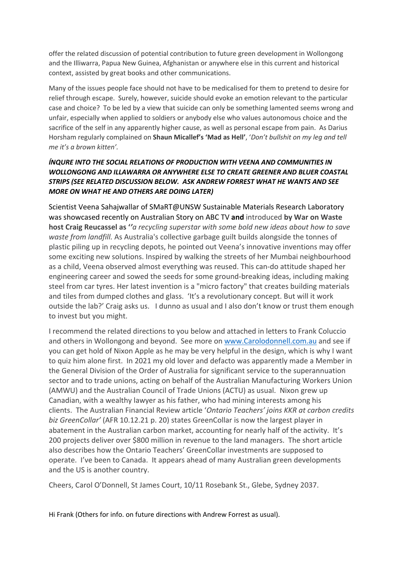offer the related discussion of potential contribution to future green development in Wollongong and the Illiwarra, Papua New Guinea, Afghanistan or anywhere else in this current and historical context, assisted by great books and other communications.

Many of the issues people face should not have to be medicalised for them to pretend to desire for relief through escape. Surely, however, suicide should evoke an emotion relevant to the particular case and choice? To be led by a view that suicide can only be something lamented seems wrong and unfair, especially when applied to soldiers or anybody else who values autonomous choice and the sacrifice of the self in any apparently higher cause, as well as personal escape from pain. As Darius Horsham regularly complained on **Shaun Micallef's 'Mad as Hell'**, '*Don't bullshit on my leg and tell me it's a brown kitten'.*

# *ÍNQURE INTO THE SOCIAL RELATIONS OF PRODUCTION WITH VEENA AND COMMUNITIES IN WOLLONGONG AND ILLAWARRA OR ANYWHERE ELSE TO CREATE GREENER AND BLUER COASTAL STRIPS (SEE RELATED DISCUSSION BELOW. ASK ANDREW FORREST WHAT HE WANTS AND SEE MORE ON WHAT HE AND OTHERS ARE DOING LATER)*

Scientist Veena Sahajwallar of SMaRT@UNSW Sustainable Materials Research Laboratory was showcased recently on Australian Story on ABC TV **and** introduced **by War on Waste host Craig Reucassel as '***'a recycling superstar with some bold new ideas about how to save waste from landfill.* As Australia's collective garbage guilt builds alongside the tonnes of plastic piling up in recycling depots, he pointed out Veena's innovative inventions may offer some exciting new solutions. Inspired by walking the streets of her Mumbai neighbourhood as a child, Veena observed almost everything was reused. This can-do attitude shaped her engineering career and sowed the seeds for some ground-breaking ideas, including making steel from car tyres. Her latest invention is a "micro factory" that creates building materials and tiles from dumped clothes and glass. 'It's a revolutionary concept. But will it work outside the lab?' Craig asks us. I dunno as usual and I also don't know or trust them enough to invest but you might.

I recommend the related directions to you below and attached in letters to Frank Coluccio and others in Wollongong and beyond. See more on www.Carolodonnell.com.au and see if you can get hold of Nixon Apple as he may be very helpful in the design, which is why I want to quiz him alone first. In 2021 my old lover and defacto was apparently made a Member in the General Division of the Order of Australia for significant service to the superannuation sector and to trade unions, acting on behalf of the Australian Manufacturing Workers Union (AMWU) and the Australian Council of Trade Unions (ACTU) as usual. Nixon grew up Canadian, with a wealthy lawyer as his father, who had mining interests among his clients. The Australian Financial Review article '*Ontario Teachers' joins KKR at carbon credits biz GreenCollar'* (AFR 10.12.21 p. 20) states GreenCollar is now the largest player in abatement in the Australian carbon market, accounting for nearly half of the activity. It's 200 projects deliver over \$800 million in revenue to the land managers. The short article also describes how the Ontario Teachers' GreenCollar investments are supposed to operate. I've been to Canada. It appears ahead of many Australian green developments and the US is another country.

Cheers, Carol O'Donnell, St James Court, 10/11 Rosebank St., Glebe, Sydney 2037.

Hi Frank (Others for info. on future directions with Andrew Forrest as usual).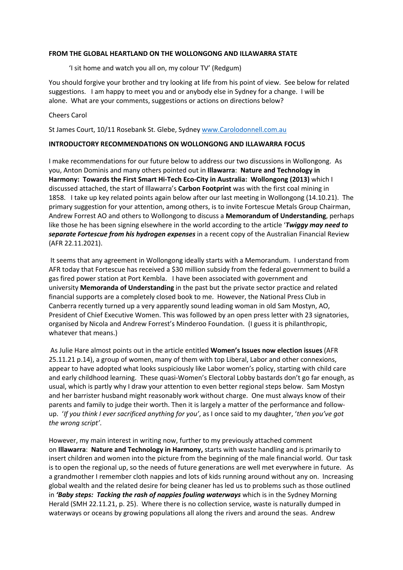#### **FROM THE GLOBAL HEARTLAND ON THE WOLLONGONG AND ILLAWARRA STATE**

'I sit home and watch you all on, my colour TV' (Redgum)

You should forgive your brother and try looking at life from his point of view. See below for related suggestions. I am happy to meet you and or anybody else in Sydney for a change. I will be alone. What are your comments, suggestions or actions on directions below?

#### Cheers Carol

St James Court, 10/11 Rosebank St. Glebe, Sydney www.Carolodonnell.com.au

#### **INTRODUCTORY RECOMMENDATIONS ON WOLLONGONG AND ILLAWARRA FOCUS**

I make recommendations for our future below to address our two discussions in Wollongong. As you, Anton Dominis and many others pointed out in **Illawarra**: **Nature and Technology in Harmony: Towards the First Smart Hi-Tech Eco-City in Australia: Wollongong (2013)** which I discussed attached, the start of Illawarra's **Carbon Footprint** was with the first coal mining in 1858. I take up key related points again below after our last meeting in Wollongong (14.10.21). The primary suggestion for your attention, among others, is to invite Fortescue Metals Group Chairman, Andrew Forrest AO and others to Wollongong to discuss a **Memorandum of Understanding**, perhaps like those he has been signing elsewhere in the world according to the article '*Twiggy may need to separate Fortescue from his hydrogen expenses* in a recent copy of the Australian Financial Review (AFR 22.11.2021).

It seems that any agreement in Wollongong ideally starts with a Memorandum. I understand from AFR today that Fortescue has received a \$30 million subsidy from the federal government to build a gas fired power station at Port Kembla. I have been associated with government and university **Memoranda of Understanding** in the past but the private sector practice and related financial supports are a completely closed book to me. However, the National Press Club in Canberra recently turned up a very apparently sound leading woman in old Sam Mostyn, AO, President of Chief Executive Women. This was followed by an open press letter with 23 signatories, organised by Nicola and Andrew Forrest's Minderoo Foundation. (I guess it is philanthropic, whatever that means.)

As Julie Hare almost points out in the article entitled **Women's Issues now election issues** (AFR 25.11.21 p.14), a group of women, many of them with top Liberal, Labor and other connexions, appear to have adopted what looks suspiciously like Labor women's policy, starting with child care and early childhood learning. These quasi-Women's Electoral Lobby bastards don't go far enough, as usual, which is partly why I draw your attention to even better regional steps below. Sam Mostyn and her barrister husband might reasonably work without charge. One must always know of their parents and family to judge their worth. Then it is largely a matter of the performance and followup. '*If you think I ever sacrificed anything for you'*, as I once said to my daughter, '*then you've got the wrong script'*.

However, my main interest in writing now, further to my previously attached comment on **Illawarra**: **Nature and Technology in Harmony,** starts with waste handling and is primarily to insert children and women into the picture from the beginning of the male financial world. Our task is to open the regional up, so the needs of future generations are well met everywhere in future. As a grandmother I remember cloth nappies and lots of kids running around without any on. Increasing global wealth and the related desire for being cleaner has led us to problems such as those outlined in *'Baby steps: Tacking the rash of nappies fouling waterways* which is in the Sydney Morning Herald (SMH 22.11.21, p. 25). Where there is no collection service, waste is naturally dumped in waterways or oceans by growing populations all along the rivers and around the seas. Andrew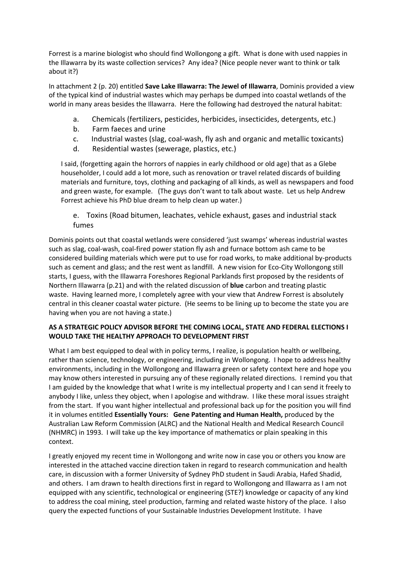Forrest is a marine biologist who should find Wollongong a gift. What is done with used nappies in the Illawarra by its waste collection services? Any idea? (Nice people never want to think or talk about it?)

In attachment 2 (p. 20) entitled **Save Lake Illawarra: The Jewel of Illawarra**, Dominis provided a view of the typical kind of industrial wastes which may perhaps be dumped into coastal wetlands of the world in many areas besides the Illawarra. Here the following had destroyed the natural habitat:

- a. Chemicals (fertilizers, pesticides, herbicides, insecticides, detergents, etc.)
- b. Farm faeces and urine
- c. Industrial wastes (slag, coal-wash, fly ash and organic and metallic toxicants)
- d. Residential wastes (sewerage, plastics, etc.)

I said, (forgetting again the horrors of nappies in early childhood or old age) that as a Glebe householder, I could add a lot more, such as renovation or travel related discards of building materials and furniture, toys, clothing and packaging of all kinds, as well as newspapers and food and green waste, for example. (The guys don't want to talk about waste. Let us help Andrew Forrest achieve his PhD blue dream to help clean up water.)

e. Toxins (Road bitumen, leachates, vehicle exhaust, gases and industrial stack fumes

Dominis points out that coastal wetlands were considered 'just swamps' whereas industrial wastes such as slag, coal-wash, coal-fired power station fly ash and furnace bottom ash came to be considered building materials which were put to use for road works, to make additional by-products such as cement and glass; and the rest went as landfill. A new vision for Eco-City Wollongong still starts, I guess, with the Illawarra Foreshores Regional Parklands first proposed by the residents of Northern Illawarra (p.21) and with the related discussion of **blue** carbon and treating plastic waste. Having learned more, I completely agree with your view that Andrew Forrest is absolutely central in this cleaner coastal water picture. (He seems to be lining up to become the state you are having when you are not having a state.)

# **AS A STRATEGIC POLICY ADVISOR BEFORE THE COMING LOCAL, STATE AND FEDERAL ELECTIONS I WOULD TAKE THE HEALTHY APPROACH TO DEVELOPMENT FIRST**

What I am best equipped to deal with in policy terms, I realize, is population health or wellbeing, rather than science, technology, or engineering, including in Wollongong. I hope to address healthy environments, including in the Wollongong and Illawarra green or safety context here and hope you may know others interested in pursuing any of these regionally related directions. I remind you that I am guided by the knowledge that what I write is my intellectual property and I can send it freely to anybody I like, unless they object, when I apologise and withdraw. I like these moral issues straight from the start. If you want higher intellectual and professional back up for the position you will find it in volumes entitled **Essentially Yours: Gene Patenting and Human Health,** produced by the Australian Law Reform Commission (ALRC) and the National Health and Medical Research Council (NHMRC) in 1993. I will take up the key importance of mathematics or plain speaking in this context.

I greatly enjoyed my recent time in Wollongong and write now in case you or others you know are interested in the attached vaccine direction taken in regard to research communication and health care, in discussion with a former University of Sydney PhD student in Saudi Arabia, Hafed Shadid, and others. I am drawn to health directions first in regard to Wollongong and Illawarra as I am not equipped with any scientific, technological or engineering (STE?) knowledge or capacity of any kind to address the coal mining, steel production, farming and related waste history of the place. I also query the expected functions of your Sustainable Industries Development Institute. I have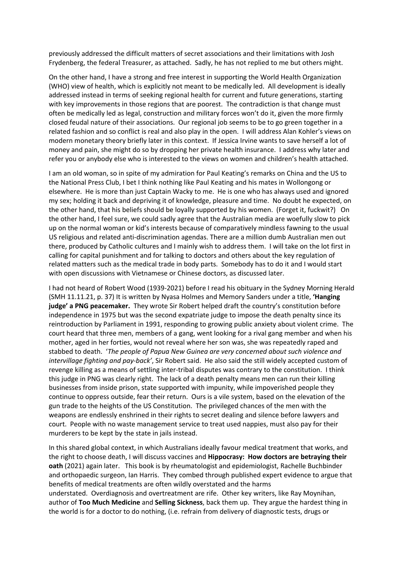previously addressed the difficult matters of secret associations and their limitations with Josh Frydenberg, the federal Treasurer, as attached. Sadly, he has not replied to me but others might.

On the other hand, I have a strong and free interest in supporting the World Health Organization (WHO) view of health, which is explicitly not meant to be medically led. All development is ideally addressed instead in terms of seeking regional health for current and future generations, starting with key improvements in those regions that are poorest. The contradiction is that change must often be medically led as legal, construction and military forces won't do it, given the more firmly closed feudal nature of their associations. Our regional job seems to be to go green together in a related fashion and so conflict is real and also play in the open. I will address Alan Kohler's views on modern monetary theory briefly later in this context. If Jessica Irvine wants to save herself a lot of money and pain, she might do so by dropping her private health insurance. I address why later and refer you or anybody else who is interested to the views on women and children's health attached.

I am an old woman, so in spite of my admiration for Paul Keating's remarks on China and the US to the National Press Club, I bet I think nothing like Paul Keating and his mates in Wollongong or elsewhere. He is more than just Captain Wacky to me. He is one who has always used and ignored my sex; holding it back and depriving it of knowledge, pleasure and time. No doubt he expected, on the other hand, that his beliefs should be loyally supported by his women. (Forget it, fuckwit?) On the other hand, I feel sure, we could sadly agree that the Australian media are woefully slow to pick up on the normal woman or kid's interests because of comparatively mindless fawning to the usual US religious and related anti-discrimination agendas. There are a million dumb Australian men out there, produced by Catholic cultures and I mainly wish to address them. I will take on the lot first in calling for capital punishment and for talking to doctors and others about the key regulation of related matters such as the medical trade in body parts. Somebody has to do it and I would start with open discussions with Vietnamese or Chinese doctors, as discussed later.

I had not heard of Robert Wood (1939-2021) before I read his obituary in the Sydney Morning Herald (SMH 11.11.21, p. 37) It is written by Nyasa Holmes and Memory Sanders under a title, **'Hanging judge' a PNG peacemaker.** They wrote Sir Robert helped draft the country's constitution before independence in 1975 but was the second expatriate judge to impose the death penalty since its reintroduction by Parliament in 1991, responding to growing public anxiety about violent crime. The court heard that three men, members of a gang, went looking for a rival gang member and when his mother, aged in her forties, would not reveal where her son was, she was repeatedly raped and stabbed to death. '*The people of Papua New Guinea are very concerned about such violence and intervillage fighting and pay-back'*, Sir Robert said. He also said the still widely accepted custom of revenge killing as a means of settling inter-tribal disputes was contrary to the constitution. I think this judge in PNG was clearly right. The lack of a death penalty means men can run their killing businesses from inside prison, state supported with impunity, while impoverished people they continue to oppress outside, fear their return. Ours is a vile system, based on the elevation of the gun trade to the heights of the US Constitution. The privileged chances of the men with the weapons are endlessly enshrined in their rights to secret dealing and silence before lawyers and court. People with no waste management service to treat used nappies, must also pay for their murderers to be kept by the state in jails instead.

In this shared global context, in which Australians ideally favour medical treatment that works, and the right to choose death, I will discuss vaccines and **Hippocrasy: How doctors are betraying their oath** (2021) again later. This book is by rheumatologist and epidemiologist, Rachelle Buchbinder and orthopaedic surgeon, Ian Harris. They combed through published expert evidence to argue that benefits of medical treatments are often wildly overstated and the harms understated. Overdiagnosis and overtreatment are rife. Other key writers, like Ray Moynihan, author of **Too Much Medicine** and **Selling Sickness**, back them up. They argue the hardest thing in the world is for a doctor to do nothing, (i.e. refrain from delivery of diagnostic tests, drugs or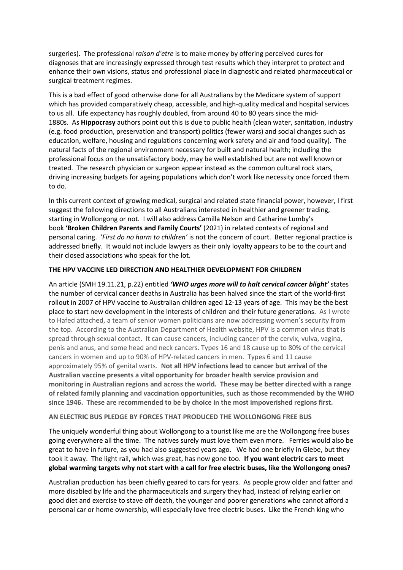surgeries). The professional *raison d'etre* is to make money by offering perceived cures for diagnoses that are increasingly expressed through test results which they interpret to protect and enhance their own visions, status and professional place in diagnostic and related pharmaceutical or surgical treatment regimes.

This is a bad effect of good otherwise done for all Australians by the Medicare system of support which has provided comparatively cheap, accessible, and high-quality medical and hospital services to us all. Life expectancy has roughly doubled, from around 40 to 80 years since the mid-1880s. As **Hippocrasy** authors point out this is due to public health (clean water, sanitation, industry (e.g. food production, preservation and transport) politics (fewer wars) and social changes such as education, welfare, housing and regulations concerning work safety and air and food quality). The natural facts of the regional environment necessary for built and natural health; including the professional focus on the unsatisfactory body, may be well established but are not well known or treated. The research physician or surgeon appear instead as the common cultural rock stars, driving increasing budgets for ageing populations which don't work like necessity once forced them to do.

In this current context of growing medical, surgical and related state financial power, however, I first suggest the following directions to all Australians interested in healthier and greener trading, starting in Wollongong or not. I will also address Camilla Nelson and Catharine Lumby's book **'Broken Children Parents and Family Courts'** (2021) in related contexts of regional and personal caring. '*First do no harm to children'* is not the concern of court. Better regional practice is addressed briefly. It would not include lawyers as their only loyalty appears to be to the court and their closed associations who speak for the lot.

### **THE HPV VACCINE LED DIRECTION AND HEALTHIER DEVELOPMENT FOR CHILDREN**

An article (SMH 19.11.21, p.22) entitled *'WHO urges more will to halt cervical cancer blight'* states the number of cervical cancer deaths in Australia has been halved since the start of the world-first rollout in 2007 of HPV vaccine to Australian children aged 12-13 years of age. This may be the best place to start new development in the interests of children and their future generations. As I wrote to Hafed attached, a team of senior women politicians are now addressing women's security from the top. According to the Australian Department of Health website, HPV is a common virus that is spread through sexual contact. It can cause cancers, including cancer of the cervix, vulva, vagina, penis and anus, and some head and neck cancers. Types 16 and 18 cause up to 80% of the cervical cancers in women and up to 90% of HPV-related cancers in men. Types 6 and 11 cause approximately 95% of genital warts. **Not all HPV infections lead to cancer but arrival of the Australian vaccine presents a vital opportunity for broader health service provision and monitoring in Australian regions and across the world. These may be better directed with a range of related family planning and vaccination opportunities, such as those recommended by the WHO since 1946. These are recommended to be by choice in the most impoverished regions first.**

### **AN ELECTRIC BUS PLEDGE BY FORCES THAT PRODUCED THE WOLLONGONG FREE BUS**

The uniquely wonderful thing about Wollongong to a tourist like me are the Wollongong free buses going everywhere all the time. The natives surely must love them even more. Ferries would also be great to have in future, as you had also suggested years ago. We had one briefly in Glebe, but they took it away. The light rail, which was great, has now gone too. **If you want electric cars to meet global warming targets why not start with a call for free electric buses, like the Wollongong ones?** 

Australian production has been chiefly geared to cars for years. As people grow older and fatter and more disabled by life and the pharmaceuticals and surgery they had, instead of relying earlier on good diet and exercise to stave off death, the younger and poorer generations who cannot afford a personal car or home ownership, will especially love free electric buses. Like the French king who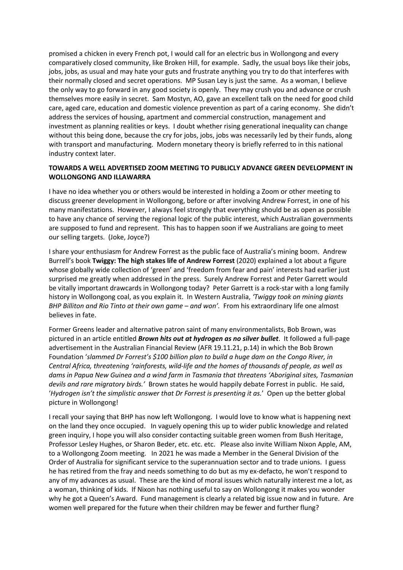promised a chicken in every French pot, I would call for an electric bus in Wollongong and every comparatively closed community, like Broken Hill, for example. Sadly, the usual boys like their jobs, jobs, jobs, as usual and may hate your guts and frustrate anything you try to do that interferes with their normally closed and secret operations. MP Susan Ley is just the same. As a woman, I believe the only way to go forward in any good society is openly. They may crush you and advance or crush themselves more easily in secret. Sam Mostyn, AO, gave an excellent talk on the need for good child care, aged care, education and domestic violence prevention as part of a caring economy. She didn't address the services of housing, apartment and commercial construction, management and investment as planning realities or keys. I doubt whether rising generational inequality can change without this being done, because the cry for jobs, jobs, jobs was necessarily led by their funds, along with transport and manufacturing. Modern monetary theory is briefly referred to in this national industry context later.

# **TOWARDS A WELL ADVERTISED ZOOM MEETING TO PUBLICLY ADVANCE GREEN DEVELOPMENT IN WOLLONGONG AND ILLAWARRA**

I have no idea whether you or others would be interested in holding a Zoom or other meeting to discuss greener development in Wollongong, before or after involving Andrew Forrest, in one of his many manifestations. However, I always feel strongly that everything should be as open as possible to have any chance of serving the regional logic of the public interest, which Australian governments are supposed to fund and represent. This has to happen soon if we Australians are going to meet our selling targets. (Joke, Joyce?)

I share your enthusiasm for Andrew Forrest as the public face of Australia's mining boom. Andrew Burrell's book **Twiggy: The high stakes life of Andrew Forrest** (2020) explained a lot about a figure whose globally wide collection of 'green' and 'freedom from fear and pain' interests had earlier just surprised me greatly when addressed in the press. Surely Andrew Forrest and Peter Garrett would be vitally important drawcards in Wollongong today? Peter Garrett is a rock-star with a long family history in Wollongong coal, as you explain it. In Western Australia, *'Twiggy took on mining giants BHP Billiton and Rio Tinto at their own game – and won'.* From his extraordinary life one almost believes in fate.

Former Greens leader and alternative patron saint of many environmentalists, Bob Brown, was pictured in an article entitled *Brown hits out at hydrogen as no silver bullet*. It followed a full-page advertisement in the Australian Financial Review (AFR 19.11.21, p.14) in which the Bob Brown Foundation '*slammed Dr Forrest's \$100 billion plan to build a huge dam on the Congo River, in Central Africa, threatening 'rainforests, wild-life and the homes of thousands of people, as well as dams in Papua New Guinea and a wind farm in Tasmania that threatens 'Aboriginal sites, Tasmanian devils and rare migratory birds.'* Brown states he would happily debate Forrest in public. He said, '*Hydrogen isn't the simplistic answer that Dr Forrest is presenting it as.*' Open up the better global picture in Wollongong!

I recall your saying that BHP has now left Wollongong. I would love to know what is happening next on the land they once occupied. In vaguely opening this up to wider public knowledge and related green inquiry, I hope you will also consider contacting suitable green women from Bush Heritage, Professor Lesley Hughes, or Sharon Beder, etc. etc. etc. Please also invite William Nixon Apple, AM, to a Wollongong Zoom meeting. In 2021 he was made a Member in the General Division of the Order of Australia for significant service to the superannuation sector and to trade unions. I guess he has retired from the fray and needs something to do but as my ex-defacto, he won't respond to any of my advances as usual. These are the kind of moral issues which naturally interest me a lot, as a woman, thinking of kids. If Nixon has nothing useful to say on Wollongong it makes you wonder why he got a Queen's Award. Fund management is clearly a related big issue now and in future. Are women well prepared for the future when their children may be fewer and further flung?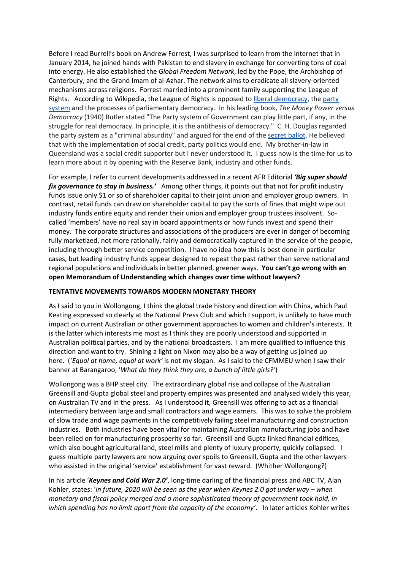Before I read Burrell's book on Andrew Forrest, I was surprised to learn from the internet that in January 2014, he joined hands with Pakistan to end slavery in exchange for converting tons of coal into energy. He also established the *Global Freedom Network*, led by the Pope, the Archbishop of Canterbury, and the Grand Imam of al-Azhar. The network aims to eradicate all slavery-oriented mechanisms across religions. Forrest married into a prominent family supporting the League of Rights. According to Wikipedia, the League of Rights is opposed to liberal democracy, the party system and the processes of parliamentary democracy. In his leading book, *The Money Power versus Democracy* (1940) Butler stated "The Party system of Government can play little part, if any, in the struggle for real democracy. In principle, it is the antithesis of democracy." C. H. Douglas regarded the party system as a "criminal absurdity" and argued for the end of the secret ballot. He believed that with the implementation of social credit, party politics would end. My brother-in-law in Queensland was a social credit supporter but I never understood it. I guess now is the time for us to learn more about it by opening with the Reserve Bank, industry and other funds.

For example, I refer to current developments addressed in a recent AFR Editorial *'Big super should fix governance to stay in business.'* Among other things, it points out that not for profit industry funds issue only \$1 or so of shareholder capital to their joint union and employer group owners. In contrast, retail funds can draw on shareholder capital to pay the sorts of fines that might wipe out industry funds entire equity and render their union and employer group trustees insolvent. Socalled 'members' have no real say in board appointments or how funds invest and spend their money. The corporate structures and associations of the producers are ever in danger of becoming fully marketized, not more rationally, fairly and democratically captured in the service of the people, including through better service competition. I have no idea how this is best done in particular cases, but leading industry funds appear designed to repeat the past rather than serve national and regional populations and individuals in better planned, greener ways. **You can't go wrong with an open Memorandum of Understanding which changes over time without lawyers?**

# **TENTATIVE MOVEMENTS TOWARDS MODERN MONETARY THEORY**

As I said to you in Wollongong, I think the global trade history and direction with China, which Paul Keating expressed so clearly at the National Press Club and which I support, is unlikely to have much impact on current Australian or other government approaches to women and children's interests. It is the latter which interests me most as I think they are poorly understood and supported in Australian political parties, and by the national broadcasters. I am more qualified to influence this direction and want to try. Shining a light on Nixon may also be a way of getting us joined up here. ('*Equal at home, equal at work'* is not my slogan. As I said to the CFMMEU when I saw their banner at Barangaroo, '*What do they think they are, a bunch of little girls?'*)

Wollongong was a BHP steel city. The extraordinary global rise and collapse of the Australian Greensill and Gupta global steel and property empires was presented and analysed widely this year, on Australian TV and in the press. As I understood it, Greensill was offering to act as a financial intermediary between large and small contractors and wage earners. This was to solve the problem of slow trade and wage payments in the competitively failing steel manufacturing and construction industries. Both industries have been vital for maintaining Australian manufacturing jobs and have been relied on for manufacturing prosperity so far. Greensill and Gupta linked financial edifices, which also bought agricultural land, steel mills and plenty of luxury property, quickly collapsed. I guess multiple party lawyers are now arguing over spoils to Greensill, Gupta and the other lawyers who assisted in the original 'service' establishment for vast reward. (Whither Wollongong?)

In his article '*Keynes and Cold War 2.0'*, long-time darling of the financial press and ABC TV, Alan Kohler, states: '*in future, 2020 will be seen as the year when Keynes 2.0 got under way – when monetary and fiscal policy merged and a more sophisticated theory of government took hold, in which spending has no limit apart from the capacity of the economy'*. In later articles Kohler writes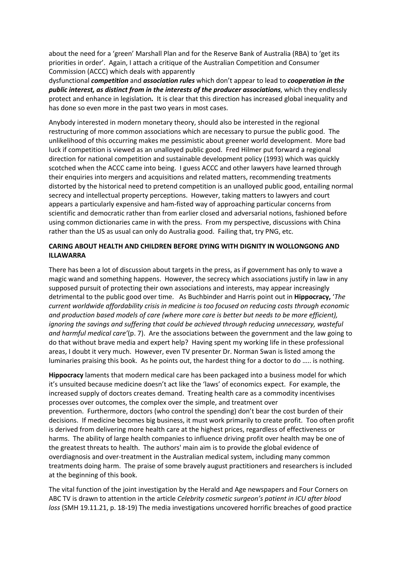about the need for a 'green' Marshall Plan and for the Reserve Bank of Australia (RBA) to 'get its priorities in order'. Again, I attach a critique of the Australian Competition and Consumer Commission (ACCC) which deals with apparently

dysfunctional *competition* and *association rules* which don't appear to lead to *cooperation in the public interest, as distinct from in the interests of the producer associations*, which they endlessly protect and enhance in legislation*.* It is clear that this direction has increased global inequality and has done so even more in the past two years in most cases.

Anybody interested in modern monetary theory, should also be interested in the regional restructuring of more common associations which are necessary to pursue the public good. The unlikelihood of this occurring makes me pessimistic about greener world development. More bad luck if competition is viewed as an unalloyed public good. Fred Hilmer put forward a regional direction for national competition and sustainable development policy (1993) which was quickly scotched when the ACCC came into being. I guess ACCC and other lawyers have learned through their enquiries into mergers and acquisitions and related matters, recommending treatments distorted by the historical need to pretend competition is an unalloyed public good, entailing normal secrecy and intellectual property perceptions. However, taking matters to lawyers and court appears a particularly expensive and ham-fisted way of approaching particular concerns from scientific and democratic rather than from earlier closed and adversarial notions, fashioned before using common dictionaries came in with the press. From my perspective, discussions with China rather than the US as usual can only do Australia good. Failing that, try PNG, etc.

### **CARING ABOUT HEALTH AND CHILDREN BEFORE DYING WITH DIGNITY IN WOLLONGONG AND ILLAWARRA**

There has been a lot of discussion about targets in the press, as if government has only to wave a magic wand and something happens. However, the secrecy which associations justify in law in any supposed pursuit of protecting their own associations and interests, may appear increasingly detrimental to the public good over time. As Buchbinder and Harris point out in **Hippocracy,** '*The current worldwide affordability crisis in medicine is too focused on reducing costs through economic and production based models of care (where more care is better but needs to be more efficient), ignoring the savings and suffering that could be achieved through reducing unnecessary, wasteful and harmful medical care'*(p. 7). Are the associations between the government and the law going to do that without brave media and expert help? Having spent my working life in these professional areas, I doubt it very much. However, even TV presenter Dr. Norman Swan is listed among the luminaries praising this book. As he points out, the hardest thing for a doctor to do ….. is nothing.

**Hippocracy** laments that modern medical care has been packaged into a business model for which it's unsuited because medicine doesn't act like the 'laws' of economics expect. For example, the increased supply of doctors creates demand. Treating health care as a commodity incentivises processes over outcomes, the complex over the simple, and treatment over prevention. Furthermore, doctors (who control the spending) don't bear the cost burden of their decisions. If medicine becomes big business, it must work primarily to create profit. Too often profit is derived from delivering more health care at the highest prices, regardless of effectiveness or harms. The ability of large health companies to influence driving profit over health may be one of the greatest threats to health. The authors' main aim is to provide the global evidence of overdiagnosis and over-treatment in the Australian medical system, including many common treatments doing harm. The praise of some bravely august practitioners and researchers is included at the beginning of this book.

The vital function of the joint investigation by the Herald and Age newspapers and Four Corners on ABC TV is drawn to attention in the article *Celebrity cosmetic surgeon's patient in ICU after blood loss* (SMH 19.11.21, p. 18-19) The media investigations uncovered horrific breaches of good practice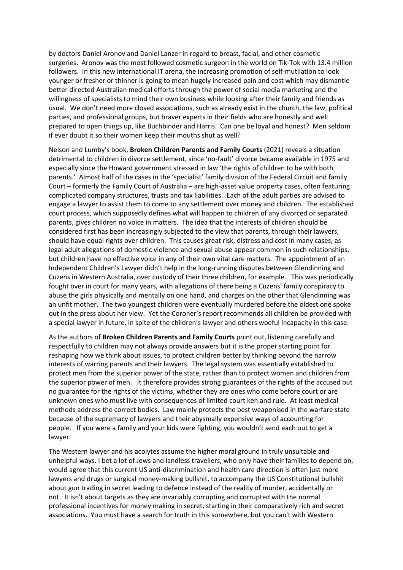by doctors Daniel Aronov and Daniel Lanzer in regard to breast, facial, and other cosmetic surgeries. Aronov was the most followed cosmetic surgeon in the world on Tik-Tok with 13.4 million followers. In this new international IT arena, the increasing promotion of self-mutilation to look younger or fresher or thinner is going to mean hugely increased pain and cost which may dismantle better directed Australian medical efforts through the power of social media marketing and the willingness of specialists to mind their own business while looking after their family and friends as usual. We don't need more closed associations, such as already exist in the church, the law, political parties, and professional groups, but braver experts in their fields who are honestly and well prepared to open things up, like Buchbinder and Harris. Can one be loyal and honest? Men seldom if ever doubt it so their women keep their mouths shut as well?

Nelson and Lumby's book, **Broken Children Parents and Family Courts** (2021) reveals a situation detrimental to children in divorce settlement, since 'no-fault' divorce became available in 1975 and especially since the Howard government stressed in law 'the rights of children to be with both parents.' Almost half of the cases in the 'specialist' family division of the Federal Circuit and family Court – formerly the Family Court of Australia – are high-asset value property cases, often featuring complicated company structures, trusts and tax liabilities. Each of the adult parties are advised to engage a lawyer to assist them to come to any settlement over money and children. The established court process, which supposedly defines what will happen to children of any divorced or separated parents, gives children no voice in matters. The idea that the interests of children should be considered first has been increasingly subjected to the view that parents, through their lawyers, should have equal rights over children. This causes great risk, distress and cost in many cases, as legal adult allegations of domestic violence and sexual abuse appear common in such relationships, but children have no effective voice in any of their own vital care matters. The appointment of an Independent Children's Lawyer didn't help in the long-running disputes between Glendinning and Cuzens in Western Australia, over custody of their three children, for example. This was periodically fought over in court for many years, with allegations of there being a Cuzens' family conspiracy to abuse the girls physically and mentally on one hand, and charges on the other that Glendinning was an unfit mother. The two youngest children were eventually murdered before the oldest one spoke out in the press about her view. Yet the Coroner's report recommends all children be provided with a special lawyer in future, in spite of the children's lawyer and others woeful incapacity in this case.

As the authors of **Broken Children Parents and Family Courts** point out, listening carefully and respectfully to children may not always provide answers but it is the proper starting point for reshaping how we think about issues, to protect children better by thinking beyond the narrow interests of warring parents and their lawyers. The legal system was essentially established to protect men from the superior power of the state, rather than to protect women and children from the superior power of men. It therefore provides strong guarantees of the rights of the accused but no guarantee for the rights of the victims, whether they are ones who come before court or are unknown ones who must live with consequences of limited court ken and rule. At least medical methods address the correct bodies. Law mainly protects the best weaponised in the warfare state because of the supremacy of lawyers and their abysmally expensive ways of accounting for people. If you were a family and your kids were fighting, you wouldn't send each out to get a lawyer.

The Western lawyer and his acolytes assume the higher moral ground in truly unsuitable and unhelpful ways. I bet a lot of Jews and landless travellers, who only have their families to depend on, would agree that this current US anti-discrimination and health care direction is often just more lawyers and drugs or surgical money-making bullshit, to accompany the US Constitutional bullshit about gun trading in secret leading to defence instead of the reality of murder, accidentally or not. It isn't about targets as they are invariably corrupting and corrupted with the normal professional incentives for money making in secret, starting in their comparatively rich and secret associations. You must have a search for truth in this somewhere, but you can't with Western